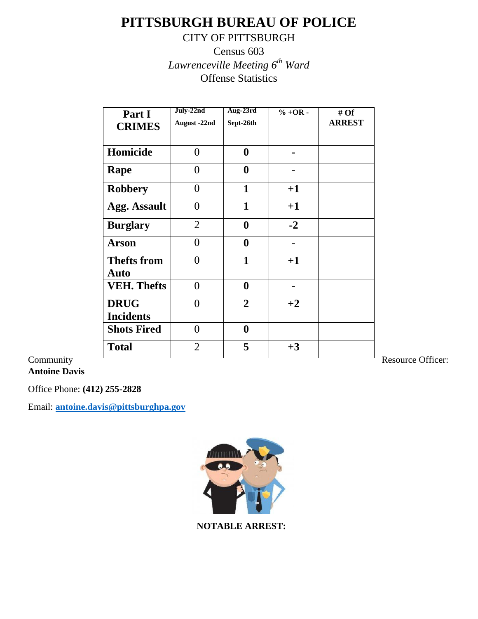# **PITTSBURGH BUREAU OF POLICE**

### CITY OF PITTSBURGH

Census 603 *Lawrenceville Meeting 6th Ward* Offense Statistics

|           | Part I              | July-22nd      | Aug-23rd         | $% +OR -$      | # $Of$        |
|-----------|---------------------|----------------|------------------|----------------|---------------|
|           | <b>CRIMES</b>       | August -22nd   | Sept-26th        |                | <b>ARREST</b> |
|           |                     |                |                  |                |               |
|           | Homicide            | $\overline{0}$ | $\boldsymbol{0}$ |                |               |
|           | Rape                | $\overline{0}$ | $\boldsymbol{0}$ |                |               |
|           | <b>Robbery</b>      | $\overline{0}$ | $\mathbf{1}$     | $+1$           |               |
|           | <b>Agg. Assault</b> | $\overline{0}$ | $\mathbf{1}$     | $+1$           |               |
|           | <b>Burglary</b>     | $\overline{2}$ | $\boldsymbol{0}$ | $-2$           |               |
|           | <b>Arson</b>        | $\overline{0}$ | $\boldsymbol{0}$ | $\blacksquare$ |               |
|           | <b>Thefts from</b>  | $\overline{0}$ | 1                | $+1$           |               |
|           | <b>Auto</b>         |                |                  |                |               |
|           | <b>VEH. Thefts</b>  | $\overline{0}$ | $\boldsymbol{0}$ | $\blacksquare$ |               |
|           | <b>DRUG</b>         | $\overline{0}$ | $\overline{2}$   | $+2$           |               |
|           | <b>Incidents</b>    |                |                  |                |               |
|           | <b>Shots Fired</b>  | $\overline{0}$ | $\boldsymbol{0}$ |                |               |
|           | <b>Total</b>        | $\overline{2}$ | 5                | $+3$           |               |
| Community |                     |                |                  |                |               |

**Antoine Davis**

Office Phone: **(412) 255-2828**

Email: **[antoine.davis@pittsburghpa.gov](mailto:antoine.davis@pittsburghpa.gov)**



 **NOTABLE ARREST:**